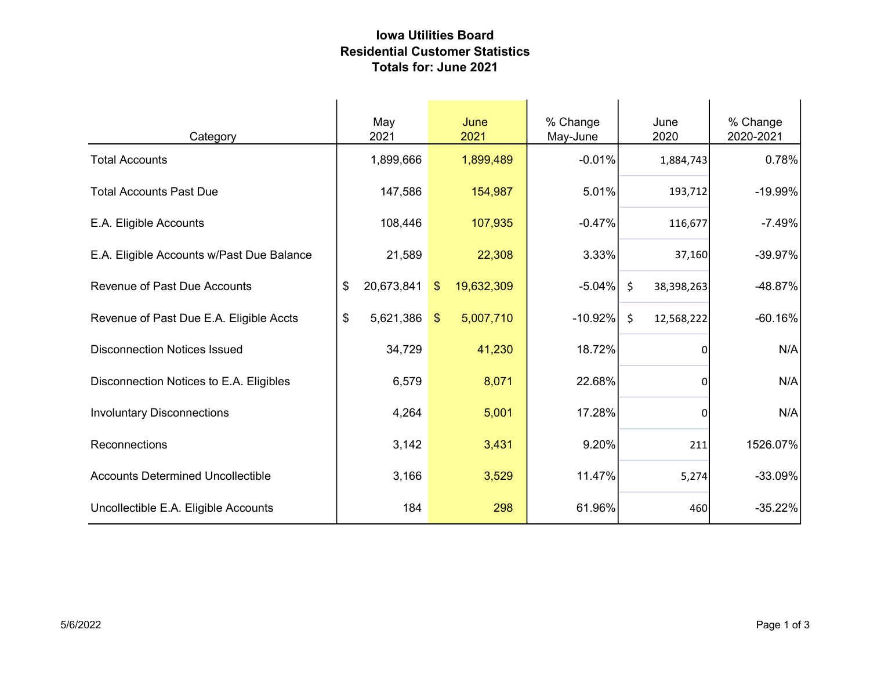## Iowa Utilities Board Residential Customer Statistics Totals for: June 2021

| Category                                  | May<br>2021      | June<br>2021                 | % Change<br>May-June | June<br>2020          | % Change<br>2020-2021 |
|-------------------------------------------|------------------|------------------------------|----------------------|-----------------------|-----------------------|
| <b>Total Accounts</b>                     | 1,899,666        | 1,899,489                    | $-0.01%$             | 1,884,743             | 0.78%                 |
| <b>Total Accounts Past Due</b>            | 147,586          | 154,987                      | 5.01%                | 193,712               | -19.99%               |
| E.A. Eligible Accounts                    | 108,446          | 107,935                      | $-0.47%$             | 116,677               | $-7.49%$              |
| E.A. Eligible Accounts w/Past Due Balance | 21,589           | 22,308                       | 3.33%                | 37,160                | $-39.97%$             |
| <b>Revenue of Past Due Accounts</b>       | 20,673,841<br>\$ | 19,632,309<br>$\mathfrak{L}$ | $-5.04%$             | \$<br>38,398,263      | $-48.87%$             |
| Revenue of Past Due E.A. Eligible Accts   | \$<br>5,621,386  | 5,007,710<br>$\mathbf{\$}$   | $-10.92%$            | $\zeta$<br>12,568,222 | $-60.16%$             |
| <b>Disconnection Notices Issued</b>       | 34,729           | 41,230                       | 18.72%               | $\Omega$              | N/A                   |
| Disconnection Notices to E.A. Eligibles   | 6,579            | 8,071                        | 22.68%               | $\Omega$              | N/A                   |
| <b>Involuntary Disconnections</b>         | 4,264            | 5,001                        | 17.28%               | 0                     | N/A                   |
| Reconnections                             | 3,142            | 3,431                        | 9.20%                | 211                   | 1526.07%              |
| <b>Accounts Determined Uncollectible</b>  | 3,166            | 3,529                        | 11.47%               | 5,274                 | $-33.09%$             |
| Uncollectible E.A. Eligible Accounts      | 184              | 298                          | 61.96%               | 460                   | $-35.22%$             |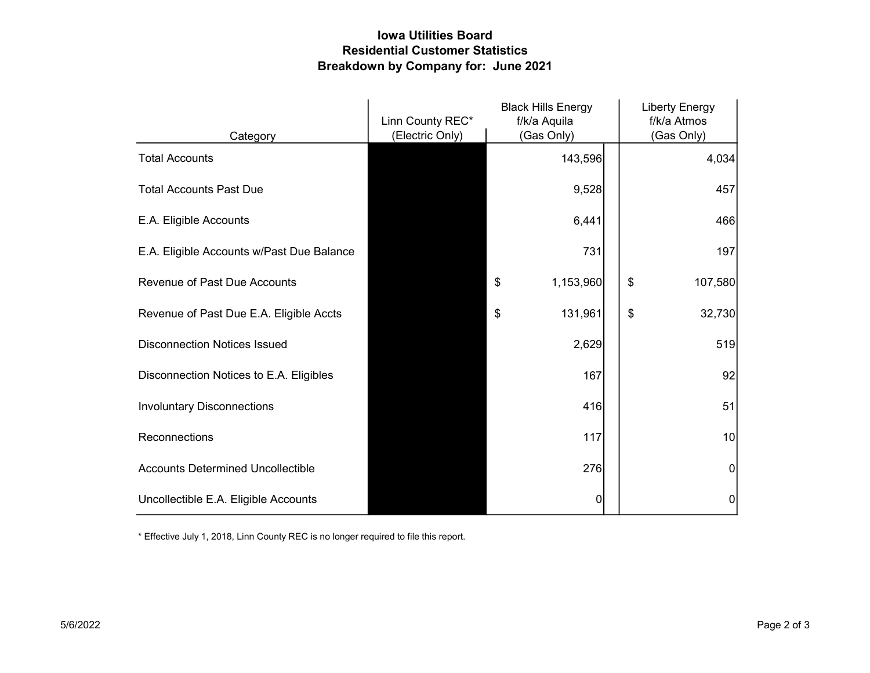## Iowa Utilities Board Residential Customer Statistics Breakdown by Company for: June 2021

|                                           | Linn County REC* | <b>Black Hills Energy</b><br>f/k/a Aquila | <b>Liberty Energy</b><br>f/k/a Atmos |
|-------------------------------------------|------------------|-------------------------------------------|--------------------------------------|
| Category                                  | (Electric Only)  | (Gas Only)                                | (Gas Only)                           |
| <b>Total Accounts</b>                     |                  | 143,596                                   | 4,034                                |
| <b>Total Accounts Past Due</b>            |                  | 9,528                                     | 457                                  |
| E.A. Eligible Accounts                    |                  | 6,441                                     | 466                                  |
| E.A. Eligible Accounts w/Past Due Balance |                  | 731                                       | 197                                  |
| <b>Revenue of Past Due Accounts</b>       |                  | \$<br>1,153,960                           | \$<br>107,580                        |
| Revenue of Past Due E.A. Eligible Accts   |                  | 131,961<br>\$                             | \$<br>32,730                         |
| <b>Disconnection Notices Issued</b>       |                  | 2,629                                     | 519                                  |
| Disconnection Notices to E.A. Eligibles   |                  | 167                                       | 92                                   |
| <b>Involuntary Disconnections</b>         |                  | 416                                       | 51                                   |
| Reconnections                             |                  | 117                                       | 10                                   |
| <b>Accounts Determined Uncollectible</b>  |                  | 276                                       | $\overline{0}$                       |
| Uncollectible E.A. Eligible Accounts      |                  | 0                                         | $\mathbf 0$                          |

\* Effective July 1, 2018, Linn County REC is no longer required to file this report.